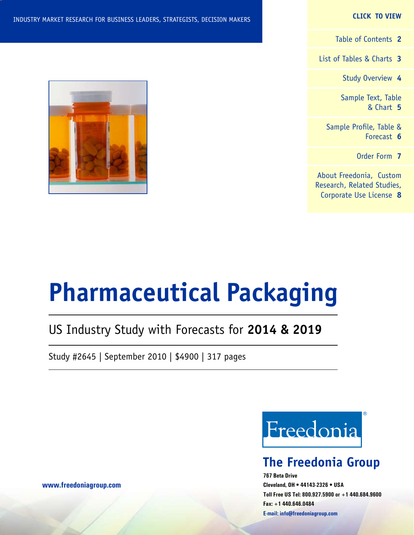#### **CLICK TO VIEW**

[Table of Contents](#page-1-0) **2**

[List of Tables & Charts](#page-2-0) **3**

[Study Overview](#page-3-0) **4**

[Sample Text, Table](#page-4-0) [& Chart](#page-4-0) **5**

[Sample Profile, Table &](#page-5-0) [Forecast](#page-5-0) **6**

[Order Form](#page-6-0) **7**

[About Freedonia, Custom](#page-7-0) [Research, Related Studies,](#page-7-0) [Corporate Use License](#page-7-0) **8**



# **Pharmaceutical Packaging**

### US Industry Study with Forecasts for **2014 & 2019**

Study #2645 | September 2010 | \$4900 | 317 pages



### **The Freedonia Group**

**767 Beta Drive Cleveland, OH • 44143-2326 • USA Toll Free US Tel: 800.927.5900 or +1 440.684.9600 Fax: +1 440.646.0484 E-mail: [info@freedoniagroup.com](mailto:info@freedoniagroup.com)**

**[www.freedoniagroup.com](http://www.freedoniagroup.com/Home.aspx?ReferrerId=FM-Bro)**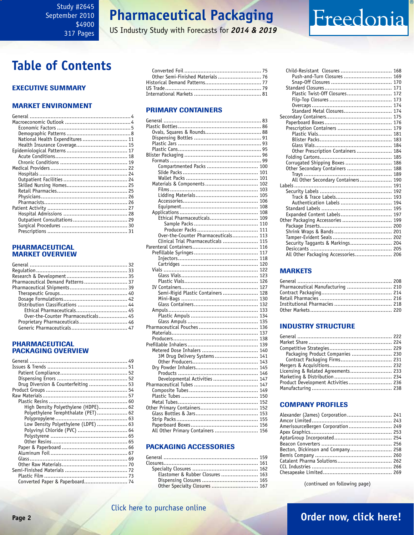### **Pharmaceutical Packaging**

US Industry Study with Forecasts for *2014 & 2019*

### <span id="page-1-0"></span>**Table of Contents**

#### Executive Summary

#### Market EnvironmenT

| National Health Expenditures 11 |  |
|---------------------------------|--|
| Health Insurance Coverage 15    |  |
|                                 |  |
|                                 |  |
|                                 |  |
|                                 |  |
|                                 |  |
|                                 |  |
|                                 |  |
|                                 |  |
|                                 |  |
|                                 |  |
|                                 |  |
|                                 |  |
|                                 |  |
|                                 |  |
|                                 |  |
|                                 |  |

#### PHARMACEUTICAL MARKET OVERVIEW

| Pharmaceutical Demand Patterns 37   |  |
|-------------------------------------|--|
|                                     |  |
|                                     |  |
|                                     |  |
| Distribution Classifications  44    |  |
| Ethical Pharmaceuticals 45          |  |
| Over-the-Counter Pharmaceuticals 45 |  |
| Proprietary Pharmaceuticals 46      |  |
|                                     |  |
|                                     |  |

#### PHARMACEUTICAL PACKAGING OVERVIEW

| Drug Diversion & Counterfeiting  53 |
|-------------------------------------|
|                                     |
|                                     |
|                                     |
| High Density Polyethylene (HDPE) 62 |
| Polyethylene Terephthalate (PET) 62 |
|                                     |
| Low Density Polyethylene (LDPE)  63 |
| Polyvinyl Chloride (PVC)  64        |
|                                     |
|                                     |
|                                     |
|                                     |
|                                     |
|                                     |
|                                     |
|                                     |
|                                     |
|                                     |

#### PRIMARY CONTAINERS

| Compartmented Packs  100             |  |
|--------------------------------------|--|
|                                      |  |
|                                      |  |
| Materials & Components  102          |  |
|                                      |  |
|                                      |  |
|                                      |  |
|                                      |  |
|                                      |  |
| .<br>Ethical Pharmaceuticals 109     |  |
|                                      |  |
|                                      |  |
| Over-the-Counter Pharmaceuticals 113 |  |
| Clinical Trial Pharmaceuticals  115  |  |
|                                      |  |
|                                      |  |
|                                      |  |
|                                      |  |
|                                      |  |
|                                      |  |
|                                      |  |
|                                      |  |
| Semi-Rigid Plastic Containers  128   |  |
|                                      |  |
|                                      |  |
|                                      |  |
|                                      |  |
|                                      |  |
|                                      |  |
|                                      |  |
|                                      |  |
|                                      |  |
|                                      |  |
| 3M Drug Delivery Systems  141        |  |
|                                      |  |
|                                      |  |
|                                      |  |
| Developmental Activities  147        |  |
|                                      |  |
|                                      |  |
|                                      |  |
|                                      |  |
|                                      |  |
|                                      |  |
|                                      |  |
|                                      |  |
| All Other Primary Containers  156    |  |

#### PACKAGING ACCESSORIES

| Elastomer & Rubber Closures  163 |  |
|----------------------------------|--|
|                                  |  |
| Other Specialty Closures  167    |  |
|                                  |  |

| Child-Resistant Closures  168       |  |
|-------------------------------------|--|
| Push-and-Turn Closures  169         |  |
|                                     |  |
|                                     |  |
| Plastic Twist-Off Closures 172      |  |
|                                     |  |
|                                     |  |
| Standard Metal Closures 174         |  |
|                                     |  |
|                                     |  |
|                                     |  |
|                                     |  |
|                                     |  |
|                                     |  |
| Other Prescription Containers  184  |  |
|                                     |  |
| Corrugated Shipping Boxes 186       |  |
| Other Secondary Containers  188     |  |
|                                     |  |
| All Other Secondary Containers 190  |  |
|                                     |  |
|                                     |  |
|                                     |  |
| Authentication Labels  194          |  |
|                                     |  |
| Expanded Content Labels 197         |  |
| Other Packaging Accessories  199    |  |
|                                     |  |
|                                     |  |
|                                     |  |
| Security Taggants & Markings 204    |  |
|                                     |  |
| All Other Packaging Accessories 206 |  |

Freedonia

#### **MARKETS**

| Pharmaceutical Manufacturing  210 |  |
|-----------------------------------|--|
|                                   |  |
|                                   |  |
|                                   |  |
|                                   |  |

#### INDUSTRY STRUCTURE

| Packaging Product Companies  230   |  |
|------------------------------------|--|
|                                    |  |
|                                    |  |
| Licensing & Related Agreements 233 |  |
|                                    |  |
| Product Development Activities 236 |  |
|                                    |  |
|                                    |  |

#### Company Profiles

| Alexander (James) Corporation 241 |  |
|-----------------------------------|--|
|                                   |  |
| AmerisourceBergen Corporation 249 |  |
|                                   |  |
|                                   |  |
|                                   |  |
| Becton, Dickinson and Company 258 |  |
|                                   |  |
|                                   |  |
|                                   |  |
|                                   |  |
|                                   |  |

(continued on following page)

### **Page 2 [Order now, click here!](#page-6-0)**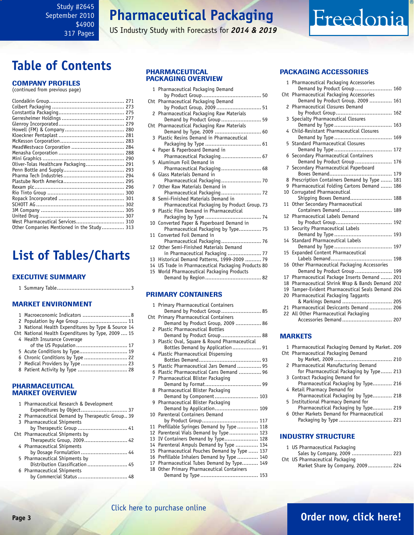### **Pharmaceutical Packaging**

US Industry Study with Forecasts for *2014 & 2019*

### <span id="page-2-0"></span>**Table of Contents**

#### Company Profiles

(continued from previous page)

| MeadWestvaco Corporation  284              |  |
|--------------------------------------------|--|
|                                            |  |
|                                            |  |
|                                            |  |
| Oliver-Tolas Healthcare Packaging 291      |  |
|                                            |  |
|                                            |  |
|                                            |  |
|                                            |  |
|                                            |  |
|                                            |  |
|                                            |  |
|                                            |  |
|                                            |  |
| West Pharmaceutical Services 310           |  |
| Other Companies Mentioned in the Study 313 |  |
|                                            |  |

### **List of Tables/Charts**

#### Executive Summary

|--|--|--|--|

#### Market EnvironmenT

| 2 Population by Age Group  11                      |
|----------------------------------------------------|
| 3 National Health Expenditures by Type & Source 14 |
| Cht National Health Expenditures by Type, 2009  15 |
| 4 Health Insurance Coverage                        |
| of the US Population  17                           |
| 5 Acute Conditions by Type 19                      |
|                                                    |
| 7 Medical Providers by Type  23                    |
| 8 Patient Activity by Type  28                     |
|                                                    |
|                                                    |

#### PHARMACEUTICAL MARKET OVERVIEW

|  | 1 Pharmaceutical Research & Development         |
|--|-------------------------------------------------|
|  | Expenditures by Object 37                       |
|  | 2 Pharmaceutical Demand by Therapeutic Group 39 |
|  | 3 Pharmaceutical Shipments                      |
|  |                                                 |
|  | Cht Pharmaceutical Shipments by                 |
|  | Therapeutic Group, 2009 42                      |
|  | 4 Pharmaceutical Shipments                      |
|  | by Dosage Formulation  44                       |
|  | 5 Pharmaceutical Shipments by                   |
|  | Distribution Classification  45                 |
|  | 6 Pharmaceutical Shipments                      |
|  | by Commercial Status  48                        |
|  |                                                 |

#### PHARMACEUTICAL PACKAGING OVERVIEW

|     | 1 Pharmaceutical Packaging Demand                                                        |
|-----|------------------------------------------------------------------------------------------|
| Cht | Pharmaceutical Packaging Demand                                                          |
| 2   | by Product Group, 2009  51<br>Pharmaceutical Packaging Raw Materials                     |
|     | Demand by Product Group 59                                                               |
| Cht | Pharmaceutical Packaging Raw Materials                                                   |
|     | Demand by Type, 2009  60                                                                 |
| 3   | Plastic Resins Demand in Pharmaceutical                                                  |
|     | 4 Paper & Paperboard Demand in                                                           |
|     | Pharmaceutical Packaging 67                                                              |
|     | 5 Aluminum Foil Demand in                                                                |
|     | Pharmaceutical Packaging 68                                                              |
|     | 6 Glass Materials Demand in<br>Pharmaceutical Packaging 70                               |
|     | 7 Other Raw Materials Demand in                                                          |
|     | Pharmaceutical Packaging 72                                                              |
|     | 8 Semi-Finished Materials Demand in                                                      |
|     | Pharmaceutical Packaging by Product Group. 73<br>9 Plastic Film Demand in Pharmaceutical |
|     |                                                                                          |
|     | 10 Converted Paper & Paperboard Demand in                                                |
|     | Pharmaceutical Packaging by Type 75                                                      |
| 11  | Converted Foil Demand in                                                                 |
|     | Pharmaceutical Packaging 76<br>12 Other Semi-Finished Materials Demand                   |
|     | in Pharmaceutical Packaging  77                                                          |
|     | 13 Historical Demand Patterns, 1999-2009  79                                             |
|     | 14 US Trade in Pharmaceutical Packaging Products 80                                      |
|     | 15 World Pharmaceutical Packaging Products                                               |
|     |                                                                                          |
|     |                                                                                          |
|     | <b>PRIMARY CONTAINERS</b>                                                                |
|     | 1 Primary Pharmaceutical Containers                                                      |
|     | Demand by Product Group 85                                                               |

|    | Cht Primary Pharmaceutical Containers         |  |
|----|-----------------------------------------------|--|
|    | Demand by Product Group, 2009  86             |  |
|    | 2 Plastic Pharmaceutical Bottles              |  |
|    | Demand by Product Group 88                    |  |
|    | 3 Plastic Oval, Square & Round Pharmaceutical |  |
|    | Bottles Demand by Application 91              |  |
|    | 4 Plastic Pharmaceutical Dispensing           |  |
|    |                                               |  |
|    | 5 Plastic Pharmaceutical Jars Demand  95      |  |
|    | 6 Plastic Pharmaceutical Cans Demand  96      |  |
|    | 7 Pharmaceutical Blister Packaging            |  |
|    |                                               |  |
|    | 8 Pharmaceutical Blister Packaging            |  |
|    | Demand by Component 103                       |  |
|    | 9 Pharmaceutical Blister Packaging            |  |
|    |                                               |  |
|    | 10 Parenteral Containers Demand               |  |
|    |                                               |  |
|    | 11 Prefillable Syringes Demand by Type  118   |  |
| 12 | Parenteral Vials Demand by Type  123          |  |
| 13 | IV Containers Demand by Type 128              |  |
| 14 | Parenteral Ampuls Demand by Type  134         |  |
| 15 | Pharmaceutical Pouches Demand by Type  137    |  |
| 16 | Prefillable Inhalers Demand by Type  140      |  |
| 17 | Pharmaceutical Tubes Demand by Type 149       |  |
| 18 | Other Primary Pharmaceutical Containers       |  |
|    |                                               |  |

#### PACKAGING ACCESSORIES

Freedonia

| $\mathbf{1}$ | Pharmaceutical Packaging Accessories                                    |  |
|--------------|-------------------------------------------------------------------------|--|
| Cht          | Demand by Product Group  160<br>Pharmaceutical Packaging Accessories    |  |
|              | Demand by Product Group, 2009  161                                      |  |
| 2            | <b>Pharmaceutical Closures Demand</b>                                   |  |
|              |                                                                         |  |
| 3            | Specialty Pharmaceutical Closures                                       |  |
| 4            | Child-Resistant Pharmaceutical Closures                                 |  |
|              |                                                                         |  |
| 5            | <b>Standard Pharmaceutical Closures</b>                                 |  |
|              |                                                                         |  |
| 6            | Secondary Pharmaceutical Containers                                     |  |
|              | Demand by Product Group  176                                            |  |
| 7            | Secondary Pharmaceutical Paperboard                                     |  |
|              |                                                                         |  |
| 8<br>9       | Prescription Containers Demand by Type  181                             |  |
| 10           | Pharmaceutical Folding Cartons Demand  186<br>Corrugated Pharmaceutical |  |
|              | Shipping Boxes Demand 188                                               |  |
| 11           | Other Secondary Pharmaceutical                                          |  |
|              | Containers Demand  189                                                  |  |
| 12           | Pharmaceutical Labels Demand                                            |  |
|              |                                                                         |  |
| 13           | Security Pharmaceutical Labels                                          |  |
|              |                                                                         |  |
| 14           | <b>Standard Pharmaceutical Labels</b>                                   |  |
|              |                                                                         |  |
| 15           | Expanded Content Pharmaceutical                                         |  |
| 16           | Other Pharmaceutical Packaging Accessories                              |  |
|              | Demand by Product Group 199                                             |  |
| 17           | Pharmaceutical Package Inserts Demand  201                              |  |
| 18           | Pharmaceutical Shrink Wrap & Bands Demand 202                           |  |
| 19           | Tamper-Evident Pharmaceutical Seals Demand 204                          |  |
| 20           | Pharmaceutical Packaging Taggants                                       |  |
|              | & Markings Demand  205                                                  |  |
| 21           | Pharmaceutical Desiccants Demand  206                                   |  |
| 22           | All Other Pharmaceutical Packaging                                      |  |
|              | Accessories Demand  207                                                 |  |
|              |                                                                         |  |
|              | <b>MARKETS</b>                                                          |  |
| 1            | Pharmaceutical Packaging Demand by Market. 209                          |  |

| Pharmaceutical Packaging De |  |  |  |
|-----------------------------|--|--|--|
| . .                         |  |  |  |

| Cht Pharmaceutical Packaging Demand       |
|-------------------------------------------|
|                                           |
| 2 Pharmaceutical Manufacturing Demand     |
| for Pharmaceutical Packaging by Type 213  |
| 3 Contract Packaging Demand for           |
| Pharmaceutical Packaging by Type 216      |
| 4 Retail Pharmacy Demand for              |
| Pharmaceutical Packaging by Type 218      |
| 5 Institutional Pharmacy Demand for       |
| Pharmaceutical Packaging by Type 219      |
| 6 Other Markets Demand for Pharmaceutical |
|                                           |
|                                           |

#### INDUSTRY STRUCTURE

| 1 US Pharmaceutical Packaging     |  |
|-----------------------------------|--|
| Sales by Company, 2009  223       |  |
| Cht US Pharmaceutical Packaging   |  |
| Market Share by Company, 2009 224 |  |

### **Page 3 [Order now, click here!](#page-6-0)**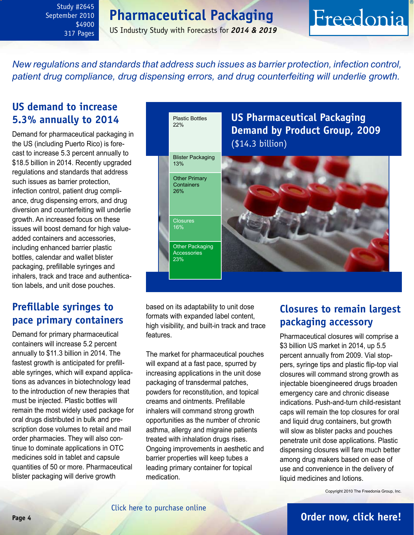### **Pharmaceutical Packaging**

US Industry Study with Forecasts for *2014 & 2019*

# Freedonia

<span id="page-3-0"></span>*New regulations and standards that address such issues as barrier protection, infection control, patient drug compliance, drug dispensing errors, and drug counterfeiting will underlie growth.* 

### **US demand to increase 5.3% annually to 2014**

Demand for pharmaceutical packaging in the US (including Puerto Rico) is forecast to increase 5.3 percent annually to \$18.5 billion in 2014. Recently upgraded regulations and standards that address such issues as barrier protection, infection control, patient drug compliance, drug dispensing errors, and drug diversion and counterfeiting will underlie growth. An increased focus on these issues will boost demand for high valueadded containers and accessories, including enhanced barrier plastic bottles, calendar and wallet blister packaging, prefillable syringes and inhalers, track and trace and authentication labels, and unit dose pouches.

### **Prefillable syringes to pace primary containers**

Demand for primary pharmaceutical containers will increase 5.2 percent annually to \$11.3 billion in 2014. The fastest growth is anticipated for prefillable syringes, which will expand applications as advances in biotechnology lead to the introduction of new therapies that must be injected. Plastic bottles will remain the most widely used package for oral drugs distributed in bulk and prescription dose volumes to retail and mail order pharmacies. They will also continue to dominate applications in OTC medicines sold in tablet and capsule quantities of 50 or more. Pharmaceutical blister packaging will derive growth



based on its adaptability to unit dose formats with expanded label content, high visibility, and built-in track and trace features.

The market for pharmaceutical pouches will expand at a fast pace, spurred by increasing applications in the unit dose packaging of transdermal patches, powders for reconstitution, and topical creams and ointments. Prefillable inhalers will command strong growth opportunities as the number of chronic asthma, allergy and migraine patients treated with inhalation drugs rises. Ongoing improvements in aesthetic and barrier properties will keep tubes a leading primary container for topical medication.

### **Closures to remain largest packaging accessory**

Pharmaceutical closures will comprise a \$3 billion US market in 2014, up 5.5 percent annually from 2009. Vial stoppers, syringe tips and plastic flip-top vial closures will command strong growth as injectable bioengineered drugs broaden emergency care and chronic disease indications. Push-and-turn child-resistant caps will remain the top closures for oral and liquid drug containers, but growth will slow as blister packs and pouches penetrate unit dose applications. Plastic dispensing closures will fare much better among drug makers based on ease of use and convenience in the delivery of liquid medicines and lotions.

Copyright 2010 The Freedonia Group, Inc.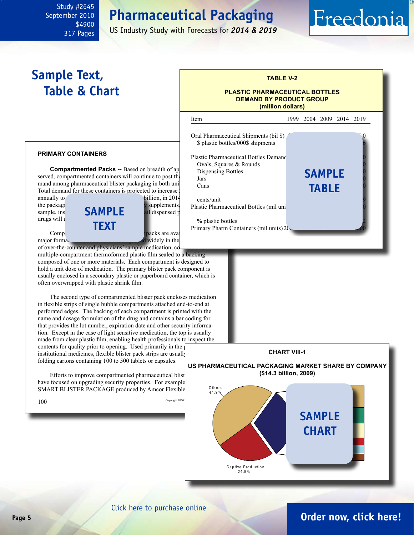### **Pharmaceutical Packaging**

US Industry Study with Forecasts for *2014 & 2019*

### <span id="page-4-0"></span>**Sample Text, Table & Chart**

#### **primary containers**

**Compartmented Packs -- Based on breadth of ap** served, compartmented containers will continue to post the  $\frac{1}{\text{Jars}}$ mand among pharmaceutical blister packaging in both units  $\frac{d}{d}$   $\frac{d}{d}$ Total demand for these containers is projected to increase.

drugs will  $\varepsilon$ 



of over-the-counter and physicians' sample medication, consists of a multiple-compartment thermoformed plastic film sealed to a backing composed of one or more materials. Each compartment is designed to hold a unit dose of medication. The primary blister pack component is usually enclosed in a secondary plastic or paperboard container, which is often overwrapped with plastic shrink film.

The second type of compartmented blister pack encloses medication in flexible strips of single bubble compartments attached end-to-end at perforated edges. The backing of each compartment is printed with the name and dosage formulation of the drug and contains a bar coding for that provides the lot number, expiration date and other security information. Except in the case of light sensitive medication, the top is usually made from clear plastic film, enabling health professionals to inspect the contents for quality prior to opening. Used primarily in the institutional medicines, flexible blister pack strips are usually folding cartons containing 100 to 500 tablets or capsules.

Efforts to improve compartmented pharmaceutical blist have focused on upgrading security properties. For example SMART BLISTER PACKAGE produced by Amcor Flexible



**TABLE V-2**

Freedonia

**PLASTIC PHARMACEUTICAL BOTTLES DEMAND BY PRODUCT GROUP (million dollars)**

### **CHART VIII-1**

**US PHARMACEUTICAL PACKAGING MARKET SHARE BY COMPANY (\$14.3 billion, 2009)**



#### [Click here to purchase online](http://www.freedoniagroup.com/DocumentDetails.aspx?Referrerid=FM-Bro&StudyID=2645)

### **Page 5 [Order now, click here!](#page-6-0)**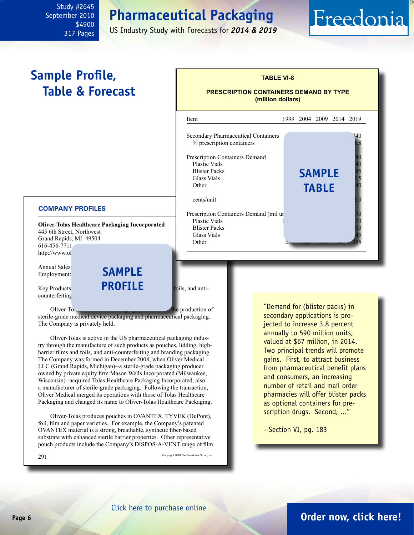### **Pharmaceutical Packaging**

US Industry Study with Forecasts for *2014 & 2019*

# Freedonia

### <span id="page-5-0"></span>**Sample Profile, Table & Forecast**



**TABLE VI-8**

#### **COMPANY PROFILES**

**Oliver-Tolas Healthcare Packaging Incorporated** 445 6th Street, Northwest Grand Rapids, MI 49504 616-456-7711 http://www.ol

Annual Sales: Employment:

counterfeiting

Key Products **PROFILE** foils, and anti**sample**

 $Oliver-T<sub>0</sub>$ <sub>healthcare Packaging specializes</sub> in the production of sterile-grade medical device packaging and pharmaceutical packaging. The Company is privately held.

Oliver-Tolas is active in the US pharmaceutical packaging industry through the manufacture of such products as pouches, lidding, highbarrier films and foils, and anti-counterfeiting and branding packaging. The Company was formed in December 2008, when Oliver Medical LLC (Grand Rapids, Michigan)--a sterile-grade packaging producer owned by private equity firm Mason Wells Incorporated (Milwaukee, Wisconsin)--acquired Tolas Healthcare Packaging Incorporated, also a manufacturer of sterile-grade packaging. Following the transaction, Oliver Medical merged its operations with those of Tolas Healthcare Packaging and changed its name to Oliver-Tolas Healthcare Packaging.

Oliver-Tolas produces pouches in OVANTEX, TYVEK (DuPont), foil, film and paper varieties. For example, the Company's patented OVANTEX material is a strong, breathable, synthetic fiber-based substrate with enhanced sterile barrier properties. Other representative pouch products include the Company's DISPOS-A-VENT range of film

291 Copyright 2010 The Freedonia Group, Inc.

"Demand for (blister packs) in secondary applications is projected to increase 3.8 percent annually to 590 million units, valued at \$67 million, in 2014. Two principal trends will promote gains. First, to attract business from pharmaceutical benefit plans and consumers, an increasing number of retail and mail order pharmacies will offer blister packs as optional containers for prescription drugs. Second, ..."

--Section VI, pg. 183

#### **Page 6 [Order now, click here!](#page-6-0)**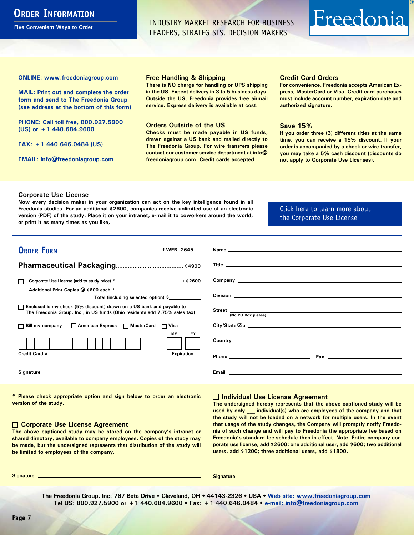### <span id="page-6-0"></span>**ORDER INFORMATION**

**Five Convenient Ways to Order**

INDUSTRY MARKET RESEARCH FOR BUSINESS LEADERS, STRATEGISTS, DECISION MAKERS

# Freedonia

**ONLINE: [www.freedoniagroup.com](http://www.freedoniagroup.com/DocumentDetails.aspx?Referrerid=FM-Bro&StudyID=2645)**

**MAIL: Print out and complete the order form and send to The Freedonia Group (see address at the bottom of this form)**

**PHONE: Call toll free, 800.927.5900 (US) or +1 440.684.9600**

**FAX: +1 440.646.0484 (US)**

**EMAIL: [info@freedoniagroup.com](mailto:info@freedoniagroup.com)**

#### **Free Handling & Shipping**

**There is NO charge for handling or UPS shipping in the US. Expect delivery in 3 to 5 business days. Outside the US, Freedonia provides free airmail service. Express delivery is available at cost.**

#### **Orders Outside of the US**

**Checks must be made payable in US funds, drawn against a US bank and mailed directly to The Freedonia Group. For wire transfers please contact our customer service department at info@ freedoniagroup.com. Credit cards accepted.**

#### **Credit Card Orders**

**For convenience, Freedonia accepts American Express, MasterCard or Visa. Credit card purchases must include account number, expiration date and authorized signature.**

#### **Save 15%**

**If you order three (3) different titles at the same time, you can receive a 15% discount. If your order is accompanied by a check or wire transfer, you may take a 5% cash discount (discounts do not apply to Corporate Use Licenses).**

#### **Corporate Use License**

**Now every decision maker in your organization can act on the key intelligence found in all Freedonia studies. For an additional \$2600, companies receive unlimited use of an electronic version (PDF) of the study. Place it on your intranet, e-mail it to coworkers around the world, or print it as many times as you like,** 

[Click here to learn more about](http://www.freedoniagroup.com/pdf/FreedoniaCULBro.pdf)  [the Corporate Use License](http://www.freedoniagroup.com/pdf/FreedoniaCULBro.pdf)

| <b>ORDER FORM</b><br>f-WEB. 2645                                                                                                                                                                                               |                           |
|--------------------------------------------------------------------------------------------------------------------------------------------------------------------------------------------------------------------------------|---------------------------|
|                                                                                                                                                                                                                                |                           |
|                                                                                                                                                                                                                                |                           |
| $+$ \$2600<br>Corporate Use License (add to study price) *                                                                                                                                                                     |                           |
| Additional Print Copies @ \$600 each *                                                                                                                                                                                         |                           |
| Total (including selected option) \$                                                                                                                                                                                           |                           |
| □ Enclosed is my check (5% discount) drawn on a US bank and payable to<br>The Freedonia Group, Inc., in US funds (Ohio residents add 7.75% sales tax)                                                                          | Street (No PO Box please) |
|                                                                                                                                                                                                                                |                           |
| □ Bill my company □ American Express □ MasterCard □ Visa                                                                                                                                                                       |                           |
| <b>MM</b><br>YY                                                                                                                                                                                                                |                           |
| Credit Card #<br><b>Expiration</b>                                                                                                                                                                                             |                           |
| Signature experience and the state of the state of the state of the state of the state of the state of the state of the state of the state of the state of the state of the state of the state of the state of the state of th |                           |

**\* Please check appropriate option and sign below to order an electronic version of the study.**

#### **Corporate Use License Agreement**

**The above captioned study may be stored on the company's intranet or shared directory, available to company employees. Copies of the study may be made, but the undersigned represents that distribution of the study will be limited to employees of the company.**

#### **Individual Use License Agreement**

**The undersigned hereby represents that the above captioned study will be used by only \_\_\_ individual(s) who are employees of the company and that the study will not be loaded on a network for multiple users. In the event that usage of the study changes, the Company will promptly notify Freedonia of such change and will pay to Freedonia the appropriate fee based on Freedonia's standard fee schedule then in effect. Note: Entire company corporate use license, add \$2600; one additional user, add \$600; two additional users, add \$1200; three additional users, add \$1800.**

**Signature Signature**

**The Freedonia Group, Inc. 767 Beta Drive • Cleveland, OH • 44143-2326 • USA • [Web site: www.freedoniagroup.com](http://www.freedoniagroup.com/Home.aspx?ReferrerId=FM-Bro) Tel US: 800.927.5900 or +1 440.684.9600 • Fax: +1 440.646.0484 • [e-mail: info@freedoniagroup.com](mailto:info@freedoniagroup.com)**